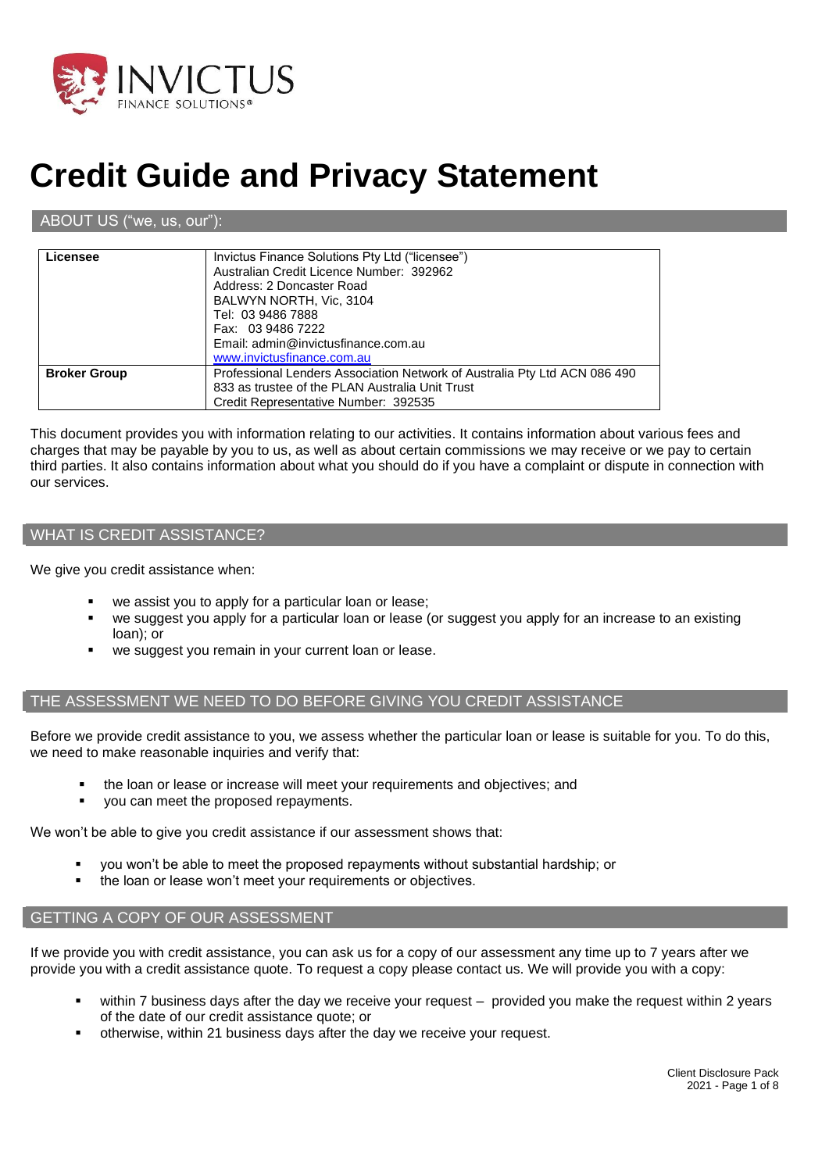

# **Credit Guide and Privacy Statement**

#### ABOUT US ("we, us, our"):

| Licensee            | Invictus Finance Solutions Pty Ltd ("licensee")<br>Australian Credit Licence Number: 392962<br>Address: 2 Doncaster Road<br>BALWYN NORTH, Vic. 3104<br>Tel: 03 9486 7888 |
|---------------------|--------------------------------------------------------------------------------------------------------------------------------------------------------------------------|
|                     | Fax: 03 9486 7222<br>Email: admin@invictusfinance.com.au<br>www.invictusfinance.com.au                                                                                   |
| <b>Broker Group</b> | Professional Lenders Association Network of Australia Pty Ltd ACN 086 490<br>833 as trustee of the PLAN Australia Unit Trust<br>Credit Representative Number: 392535     |

This document provides you with information relating to our activities. It contains information about various fees and charges that may be payable by you to us, as well as about certain commissions we may receive or we pay to certain third parties. It also contains information about what you should do if you have a complaint or dispute in connection with our services.

#### WHAT IS CREDIT ASSISTANCE?

We give you credit assistance when:

- we assist you to apply for a particular loan or lease;
- we suggest you apply for a particular loan or lease (or suggest you apply for an increase to an existing loan); or
- we suggest you remain in your current loan or lease.

#### THE ASSESSMENT WE NEED TO DO BEFORE GIVING YOU CREDIT ASSISTANCE

Before we provide credit assistance to you, we assess whether the particular loan or lease is suitable for you. To do this, we need to make reasonable inquiries and verify that:

- the loan or lease or increase will meet your requirements and objectives; and
- you can meet the proposed repayments.

We won't be able to give you credit assistance if our assessment shows that:

- you won't be able to meet the proposed repayments without substantial hardship; or
- the loan or lease won't meet your requirements or objectives.

#### GETTING A COPY OF OUR ASSESSMENT

If we provide you with credit assistance, you can ask us for a copy of our assessment any time up to 7 years after we provide you with a credit assistance quote. To request a copy please contact us. We will provide you with a copy:

- within 7 business days after the day we receive your request provided you make the request within 2 years of the date of our credit assistance quote; or
- otherwise, within 21 business days after the day we receive your request.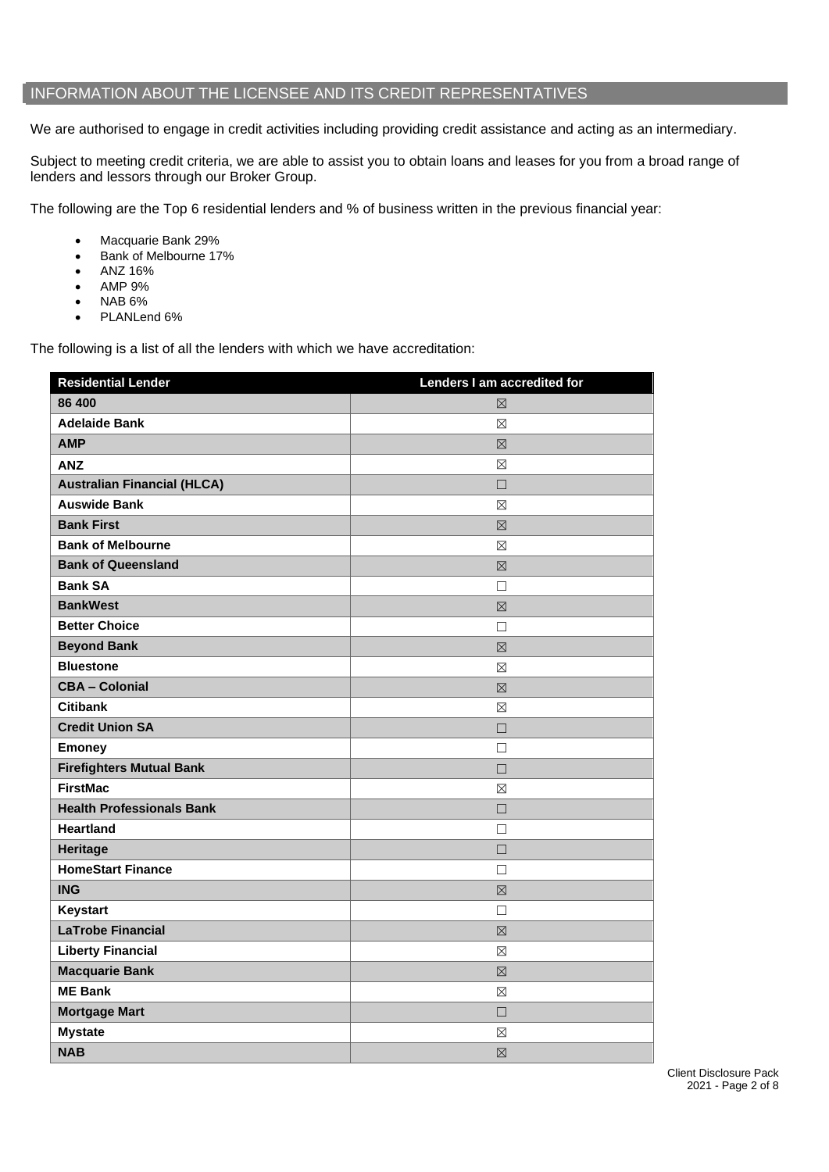### INFORMATION ABOUT THE LICENSEE AND ITS CREDIT REPRESENTATIVES

We are authorised to engage in credit activities including providing credit assistance and acting as an intermediary.

Subject to meeting credit criteria, we are able to assist you to obtain loans and leases for you from a broad range of lenders and lessors through our Broker Group.

The following are the Top 6 residential lenders and % of business written in the previous financial year:

- Macquarie Bank 29%
- Bank of Melbourne 17%
- ANZ 16%
- AMP 9%
- NAB 6%
- PLANLend 6%

The following is a list of all the lenders with which we have accreditation:

| <b>Residential Lender</b>          | Lenders I am accredited for |
|------------------------------------|-----------------------------|
| 86 400                             | $\boxtimes$                 |
| <b>Adelaide Bank</b>               | $\boxtimes$                 |
| <b>AMP</b>                         | $\boxtimes$                 |
| <b>ANZ</b>                         | $\boxtimes$                 |
| <b>Australian Financial (HLCA)</b> | $\Box$                      |
| <b>Auswide Bank</b>                | $\boxtimes$                 |
| <b>Bank First</b>                  | $\boxtimes$                 |
| <b>Bank of Melbourne</b>           | $\boxtimes$                 |
| <b>Bank of Queensland</b>          | $\boxtimes$                 |
| <b>Bank SA</b>                     | $\Box$                      |
| <b>BankWest</b>                    | $\boxtimes$                 |
| <b>Better Choice</b>               | $\Box$                      |
| <b>Beyond Bank</b>                 | $\boxtimes$                 |
| <b>Bluestone</b>                   | $\boxtimes$                 |
| <b>CBA - Colonial</b>              | $\boxtimes$                 |
| <b>Citibank</b>                    | ⊠                           |
| <b>Credit Union SA</b>             | $\Box$                      |
| <b>Emoney</b>                      | П                           |
| <b>Firefighters Mutual Bank</b>    | $\Box$                      |
| <b>FirstMac</b>                    | $\boxtimes$                 |
| <b>Health Professionals Bank</b>   | $\Box$                      |
| <b>Heartland</b>                   | $\Box$                      |
| Heritage                           | $\Box$                      |
| <b>HomeStart Finance</b>           | $\Box$                      |
| <b>ING</b>                         | $\boxtimes$                 |
| <b>Keystart</b>                    | $\Box$                      |
| <b>LaTrobe Financial</b>           | $\boxtimes$                 |
| <b>Liberty Financial</b>           | $\boxtimes$                 |
| <b>Macquarie Bank</b>              | $\boxtimes$                 |
| <b>ME Bank</b>                     | ⊠                           |
| <b>Mortgage Mart</b>               | $\Box$                      |
| <b>Mystate</b>                     | $\boxtimes$                 |
| <b>NAB</b>                         | $\boxtimes$                 |

Client Disclosure Pack 2021 - Page 2 of 8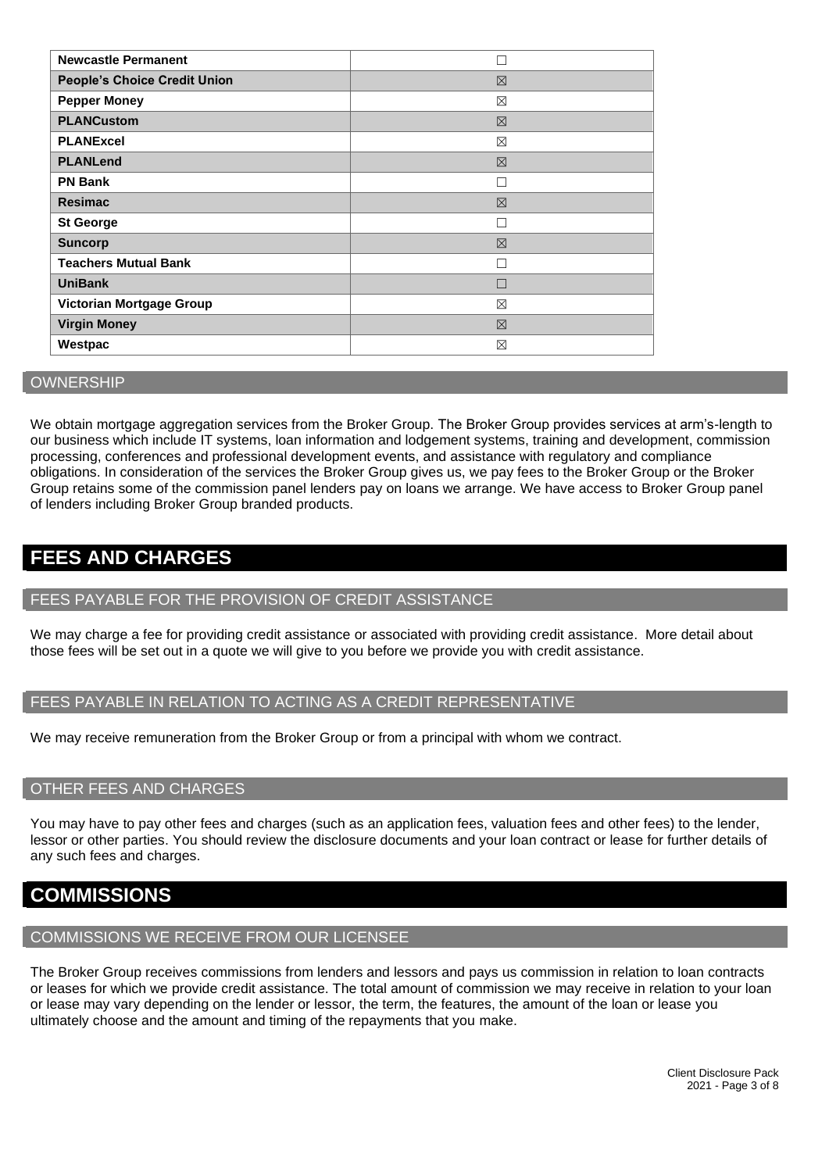| <b>Newcastle Permanent</b>          |             |
|-------------------------------------|-------------|
| <b>People's Choice Credit Union</b> | 区           |
| <b>Pepper Money</b>                 | $\boxtimes$ |
| <b>PLANCustom</b>                   | 区           |
| <b>PLANExcel</b>                    | $\boxtimes$ |
| <b>PLANLend</b>                     | $\boxtimes$ |
| <b>PN Bank</b>                      |             |
| <b>Resimac</b>                      | $\boxtimes$ |
| <b>St George</b>                    |             |
| <b>Suncorp</b>                      | 区           |
| <b>Teachers Mutual Bank</b>         |             |
| <b>UniBank</b>                      |             |
| Victorian Mortgage Group            | $\boxtimes$ |
| <b>Virgin Money</b>                 | $\boxtimes$ |
| Westpac                             | ⊠           |

#### **OWNERSHIP**

We obtain mortgage aggregation services from the Broker Group. The Broker Group provides services at arm's-length to our business which include IT systems, loan information and lodgement systems, training and development, commission processing, conferences and professional development events, and assistance with regulatory and compliance obligations. In consideration of the services the Broker Group gives us, we pay fees to the Broker Group or the Broker Group retains some of the commission panel lenders pay on loans we arrange. We have access to Broker Group panel of lenders including Broker Group branded products.

## **FEES AND CHARGES**

#### FEES PAYABLE FOR THE PROVISION OF CREDIT ASSISTANCE

We may charge a fee for providing credit assistance or associated with providing credit assistance. More detail about those fees will be set out in a quote we will give to you before we provide you with credit assistance.

#### FEES PAYABLE IN RELATION TO ACTING AS A CREDIT REPRESENTATIVE

We may receive remuneration from the Broker Group or from a principal with whom we contract.

#### OTHER FEES AND CHARGES

You may have to pay other fees and charges (such as an application fees, valuation fees and other fees) to the lender, lessor or other parties. You should review the disclosure documents and your loan contract or lease for further details of any such fees and charges.

## **COMMISSIONS**

#### COMMISSIONS WE RECEIVE FROM OUR LICENSEE

The Broker Group receives commissions from lenders and lessors and pays us commission in relation to loan contracts or leases for which we provide credit assistance. The total amount of commission we may receive in relation to your loan or lease may vary depending on the lender or lessor, the term, the features, the amount of the loan or lease you ultimately choose and the amount and timing of the repayments that you make.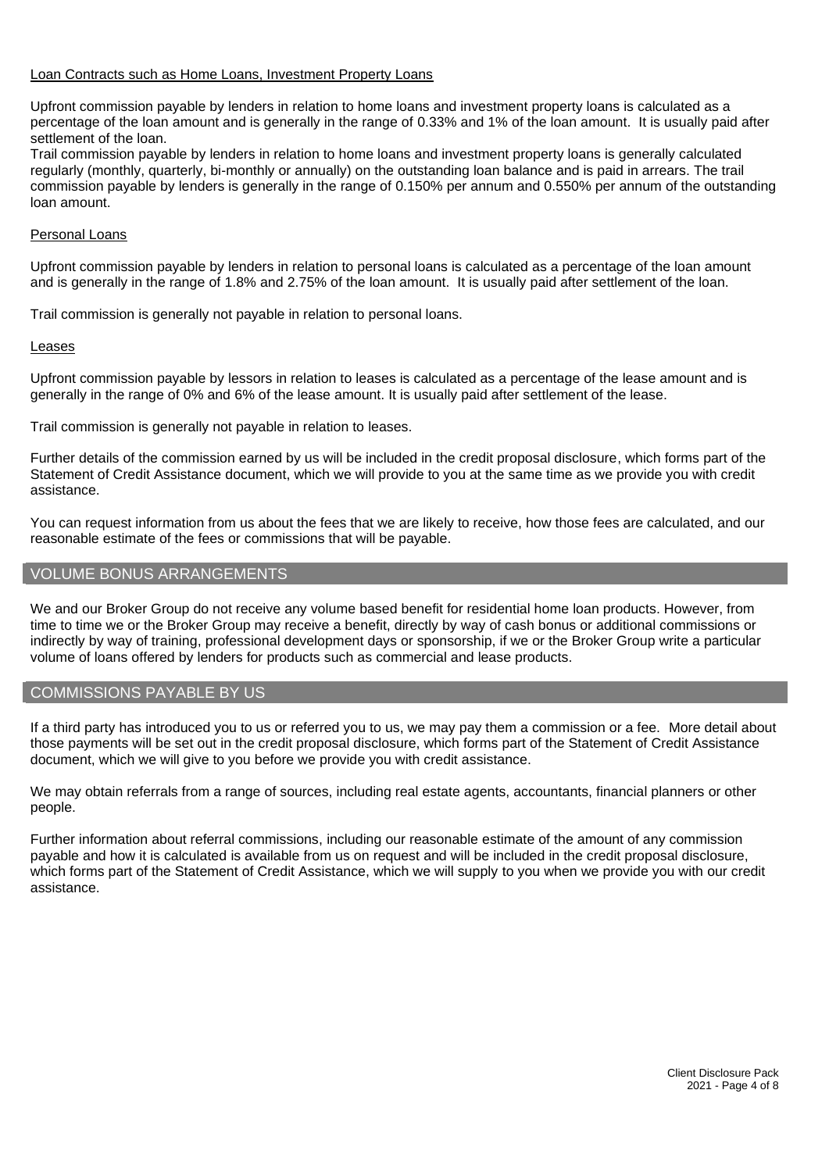#### Loan Contracts such as Home Loans, Investment Property Loans

Upfront commission payable by lenders in relation to home loans and investment property loans is calculated as a percentage of the loan amount and is generally in the range of 0.33% and 1% of the loan amount. It is usually paid after settlement of the loan.

Trail commission payable by lenders in relation to home loans and investment property loans is generally calculated regularly (monthly, quarterly, bi-monthly or annually) on the outstanding loan balance and is paid in arrears. The trail commission payable by lenders is generally in the range of 0.150% per annum and 0.550% per annum of the outstanding loan amount.

#### Personal Loans

Upfront commission payable by lenders in relation to personal loans is calculated as a percentage of the loan amount and is generally in the range of 1.8% and 2.75% of the loan amount. It is usually paid after settlement of the loan.

Trail commission is generally not payable in relation to personal loans.

#### Leases

Upfront commission payable by lessors in relation to leases is calculated as a percentage of the lease amount and is generally in the range of 0% and 6% of the lease amount. It is usually paid after settlement of the lease.

Trail commission is generally not payable in relation to leases.

Further details of the commission earned by us will be included in the credit proposal disclosure, which forms part of the Statement of Credit Assistance document, which we will provide to you at the same time as we provide you with credit assistance.

You can request information from us about the fees that we are likely to receive, how those fees are calculated, and our reasonable estimate of the fees or commissions that will be payable.

#### VOLUME BONUS ARRANGEMENTS

We and our Broker Group do not receive any volume based benefit for residential home loan products. However, from time to time we or the Broker Group may receive a benefit, directly by way of cash bonus or additional commissions or indirectly by way of training, professional development days or sponsorship, if we or the Broker Group write a particular volume of loans offered by lenders for products such as commercial and lease products.

#### COMMISSIONS PAYABLE BY US

If a third party has introduced you to us or referred you to us, we may pay them a commission or a fee. More detail about those payments will be set out in the credit proposal disclosure, which forms part of the Statement of Credit Assistance document, which we will give to you before we provide you with credit assistance.

We may obtain referrals from a range of sources, including real estate agents, accountants, financial planners or other people.

Further information about referral commissions, including our reasonable estimate of the amount of any commission payable and how it is calculated is available from us on request and will be included in the credit proposal disclosure, which forms part of the Statement of Credit Assistance, which we will supply to you when we provide you with our credit assistance.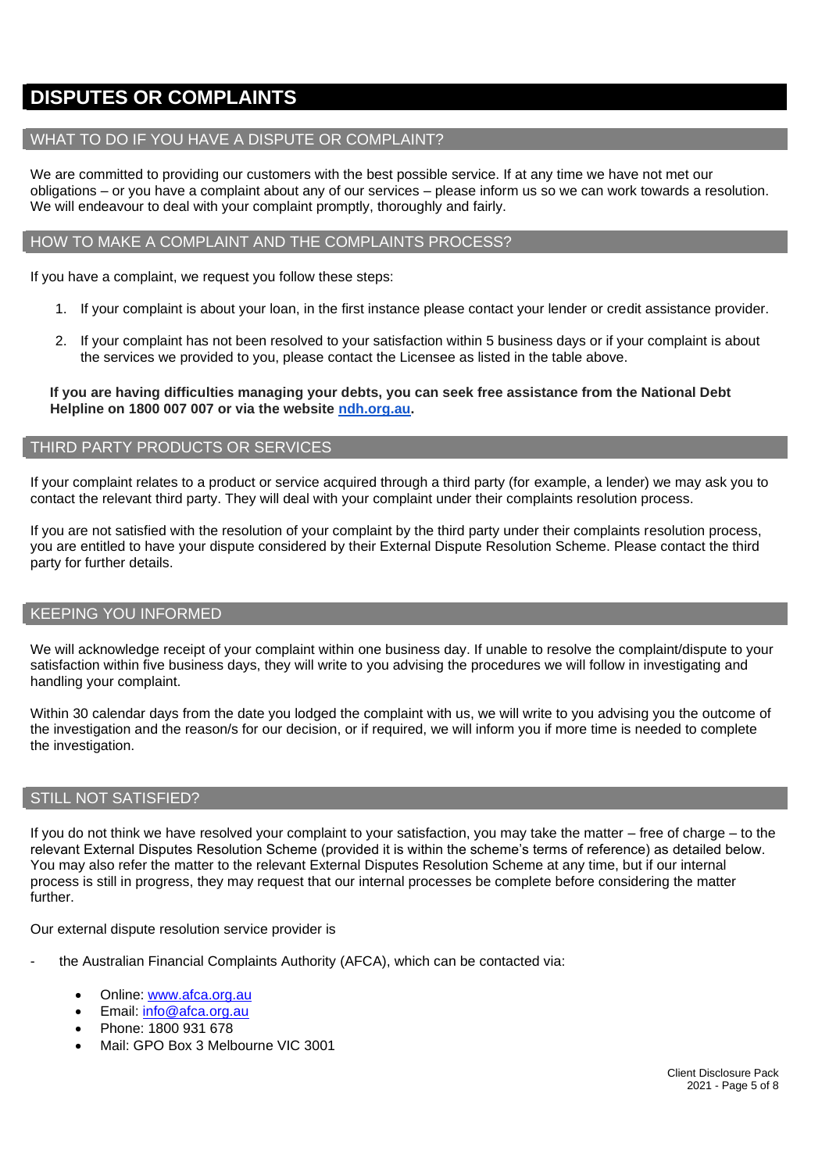## **DISPUTES OR COMPLAINTS**

#### WHAT TO DO IF YOU HAVE A DISPUTE OR COMPLAINT?

We are committed to providing our customers with the best possible service. If at any time we have not met our obligations – or you have a complaint about any of our services – please inform us so we can work towards a resolution. We will endeavour to deal with your complaint promptly, thoroughly and fairly.

#### HOW TO MAKE A COMPLAINT AND THE COMPLAINTS PROCESS?

If you have a complaint, we request you follow these steps:

- 1. If your complaint is about your loan, in the first instance please contact your lender or credit assistance provider.
- 2. If your complaint has not been resolved to your satisfaction within 5 business days or if your complaint is about the services we provided to you, please contact the Licensee as listed in the table above.

**If you are having difficulties managing your debts, you can seek free assistance from the National Debt Helpline on 1800 007 007 or via the website [ndh.org.au.](http://ndh.org.au/)**

#### THIRD PARTY PRODUCTS OR SERVICES

If your complaint relates to a product or service acquired through a third party (for example, a lender) we may ask you to contact the relevant third party. They will deal with your complaint under their complaints resolution process.

If you are not satisfied with the resolution of your complaint by the third party under their complaints resolution process, you are entitled to have your dispute considered by their External Dispute Resolution Scheme. Please contact the third party for further details.

#### KEEPING YOU INFORMED

We will acknowledge receipt of your complaint within one business day. If unable to resolve the complaint/dispute to your satisfaction within five business days, they will write to you advising the procedures we will follow in investigating and handling your complaint.

Within 30 calendar days from the date you lodged the complaint with us, we will write to you advising you the outcome of the investigation and the reason/s for our decision, or if required, we will inform you if more time is needed to complete the investigation.

#### STILL NOT SATISFIED?

If you do not think we have resolved your complaint to your satisfaction, you may take the matter – free of charge – to the relevant External Disputes Resolution Scheme (provided it is within the scheme's terms of reference) as detailed below. You may also refer the matter to the relevant External Disputes Resolution Scheme at any time, but if our internal process is still in progress, they may request that our internal processes be complete before considering the matter further.

Our external dispute resolution service provider is

- the Australian Financial Complaints Authority (AFCA), which can be contacted via:
	- Online: [www.afca.org.au](http://www.afca.org.au/)
	- Email: [info@afca.org.au](mailto:info@afc.org.au)
	- Phone: 1800 931 678
	- Mail: GPO Box 3 Melbourne VIC 3001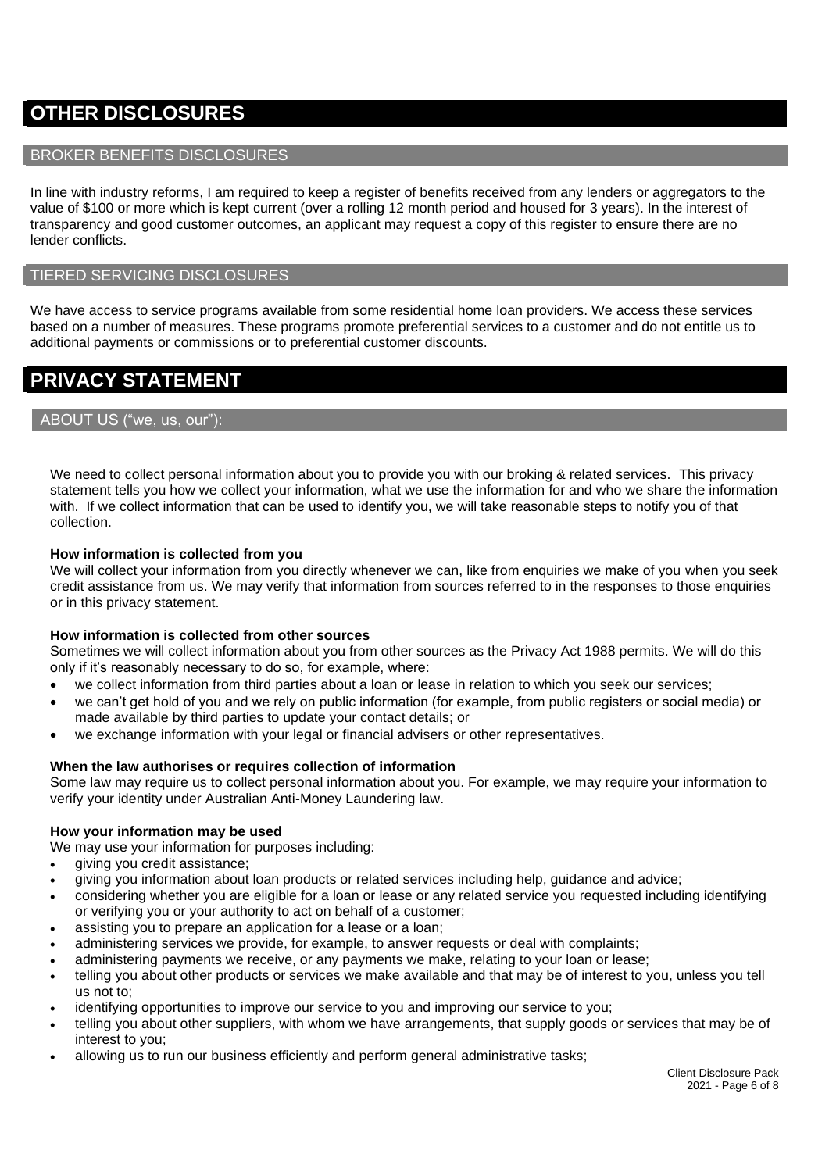# **OTHER DISCLOSURES**

#### BROKER BENEFITS DISCLOSURES

In line with industry reforms, I am required to keep a register of benefits received from any lenders or aggregators to the value of \$100 or more which is kept current (over a rolling 12 month period and housed for 3 years). In the interest of transparency and good customer outcomes, an applicant may request a copy of this register to ensure there are no lender conflicts.

#### TIERED SERVICING DISCLOSURES

We have access to service programs available from some residential home loan providers. We access these services based on a number of measures. These programs promote preferential services to a customer and do not entitle us to additional payments or commissions or to preferential customer discounts.

# **PRIVACY STATEMENT**

#### ABOUT US ("we, us, our"):

We need to collect personal information about you to provide you with our broking & related services. This privacy statement tells you how we collect your information, what we use the information for and who we share the information with. If we collect information that can be used to identify you, we will take reasonable steps to notify you of that collection.

#### **How information is collected from you**

We will collect your information from you directly whenever we can, like from enquiries we make of you when you seek credit assistance from us. We may verify that information from sources referred to in the responses to those enquiries or in this privacy statement.

#### **How information is collected from other sources**

Sometimes we will collect information about you from other sources as the Privacy Act 1988 permits. We will do this only if it's reasonably necessary to do so, for example, where:

- we collect information from third parties about a loan or lease in relation to which you seek our services;
- we can't get hold of you and we rely on public information (for example, from public registers or social media) or made available by third parties to update your contact details; or
- we exchange information with your legal or financial advisers or other representatives.

#### **When the law authorises or requires collection of information**

Some law may require us to collect personal information about you. For example, we may require your information to verify your identity under Australian Anti-Money Laundering law.

#### **How your information may be used**

We may use your information for purposes including:

- giving you credit assistance;
- giving you information about loan products or related services including help, guidance and advice;
- considering whether you are eligible for a loan or lease or any related service you requested including identifying or verifying you or your authority to act on behalf of a customer;
- assisting you to prepare an application for a lease or a loan;
- administering services we provide, for example, to answer requests or deal with complaints;
- administering payments we receive, or any payments we make, relating to your loan or lease;
- telling you about other products or services we make available and that may be of interest to you, unless you tell us not to;
- identifying opportunities to improve our service to you and improving our service to you;
- telling you about other suppliers, with whom we have arrangements, that supply goods or services that may be of interest to you;
- allowing us to run our business efficiently and perform general administrative tasks;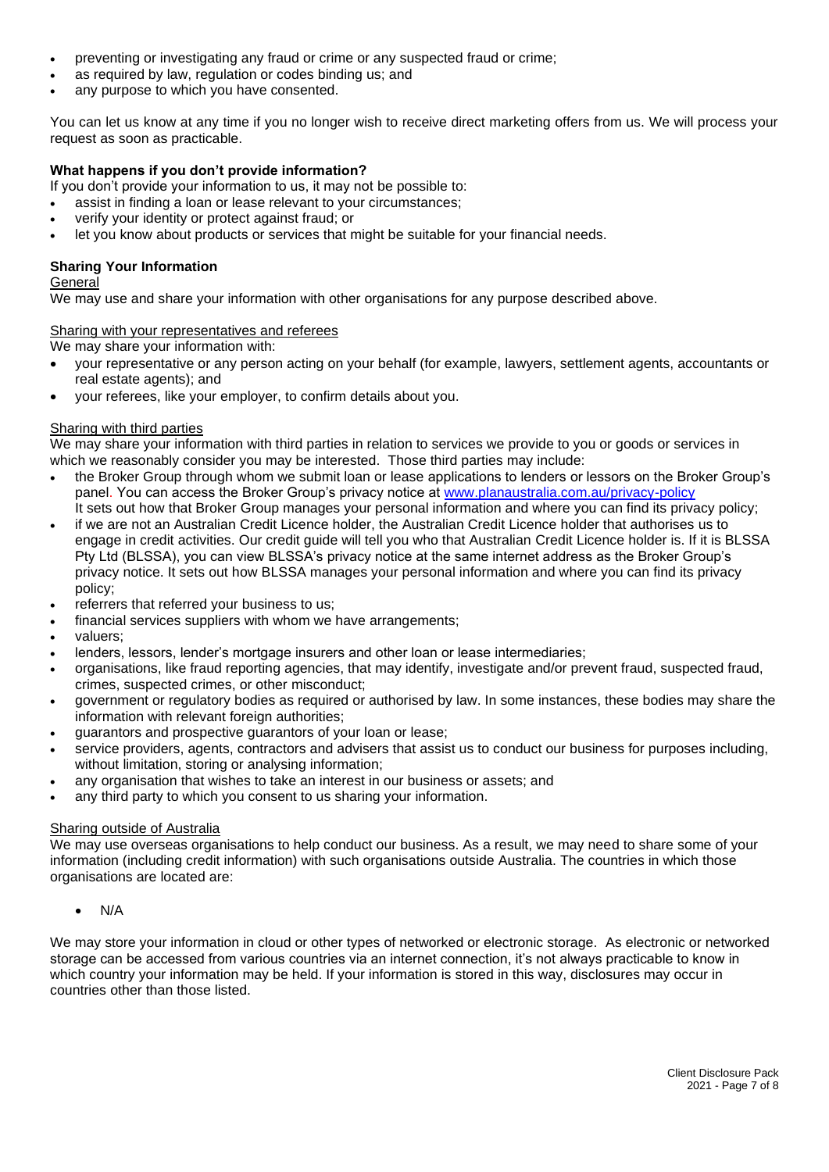- preventing or investigating any fraud or crime or any suspected fraud or crime;
- as required by law, regulation or codes binding us; and
- any purpose to which you have consented.

You can let us know at any time if you no longer wish to receive direct marketing offers from us. We will process your request as soon as practicable.

#### **What happens if you don't provide information?**

- If you don't provide your information to us, it may not be possible to:
- assist in finding a loan or lease relevant to your circumstances;
- verify your identity or protect against fraud; or
- let you know about products or services that might be suitable for your financial needs.

#### **Sharing Your Information**

#### **General**

We may use and share your information with other organisations for any purpose described above.

#### Sharing with your representatives and referees

We may share your information with:

- your representative or any person acting on your behalf (for example, lawyers, settlement agents, accountants or real estate agents); and
- your referees, like your employer, to confirm details about you.

#### Sharing with third parties

We may share your information with third parties in relation to services we provide to you or goods or services in which we reasonably consider you may be interested. Those third parties may include:

- the Broker Group through whom we submit loan or lease applications to lenders or lessors on the Broker Group's panel. You can access the Broker Group's privacy notice at [www.planaustralia.com.au/privacy-](http://www.planaustralia.com.au/privacy)policy It sets out how that Broker Group manages your personal information and where you can find its privacy policy;
- if we are not an Australian Credit Licence holder, the Australian Credit Licence holder that authorises us to engage in credit activities. Our credit guide will tell you who that Australian Credit Licence holder is. If it is BLSSA Pty Ltd (BLSSA), you can view BLSSA's privacy notice at the same internet address as the Broker Group's privacy notice. It sets out how BLSSA manages your personal information and where you can find its privacy policy;
- referrers that referred your business to us;
- financial services suppliers with whom we have arrangements;
- valuers;
- lenders, lessors, lender's mortgage insurers and other loan or lease intermediaries;
- organisations, like fraud reporting agencies, that may identify, investigate and/or prevent fraud, suspected fraud, crimes, suspected crimes, or other misconduct;
- government or regulatory bodies as required or authorised by law. In some instances, these bodies may share the information with relevant foreign authorities;
- guarantors and prospective guarantors of your loan or lease;
- service providers, agents, contractors and advisers that assist us to conduct our business for purposes including, without limitation, storing or analysing information;
- any organisation that wishes to take an interest in our business or assets; and
- any third party to which you consent to us sharing your information.

#### **Sharing outside of Australia**

We may use overseas organisations to help conduct our business. As a result, we may need to share some of your information (including credit information) with such organisations outside Australia. The countries in which those organisations are located are:

• N/A

We may store your information in cloud or other types of networked or electronic storage. As electronic or networked storage can be accessed from various countries via an internet connection, it's not always practicable to know in which country your information may be held. If your information is stored in this way, disclosures may occur in countries other than those listed.